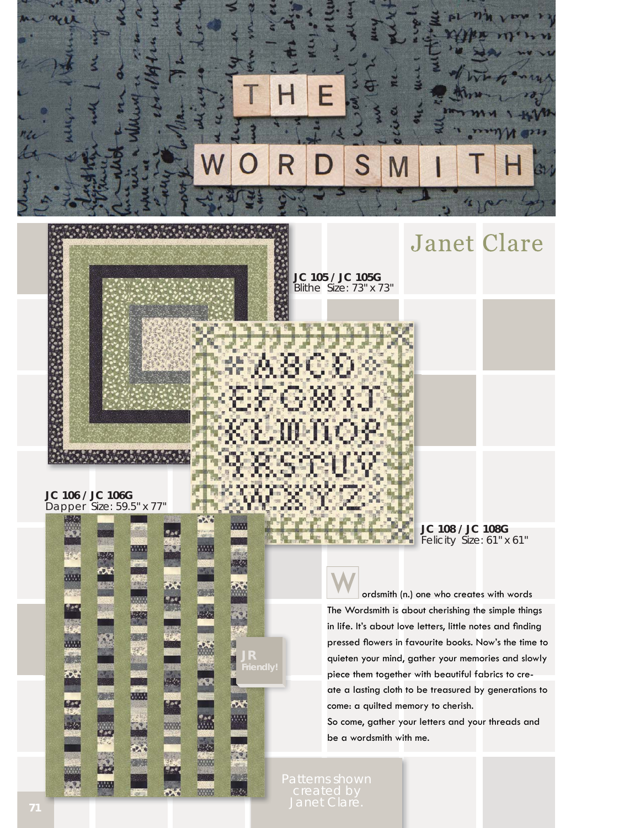

#### **JC 106 / JC 106G**  Dapper Size: 59.5" x 77"





ez.

**JC 105 / JC 105G**  Blithe Size: 73" x 73"

> **JC 108 / JC 108G**  Felicity Size: 61" x 61"

**Janet Clare** 

 ordsmith (n.) one who creates with words The Wordsmith is about cherishing the simple things in life. It's about love letters, little notes and finding pressed flowers in favourite books. Now's the time to quieten your mind, gather your memories and slowly piece them together with beautiful fabrics to create a lasting cloth to be treasured by generations to come: a quilted memory to cherish. So come, gather your letters and your threads and

be a wordsmith with me.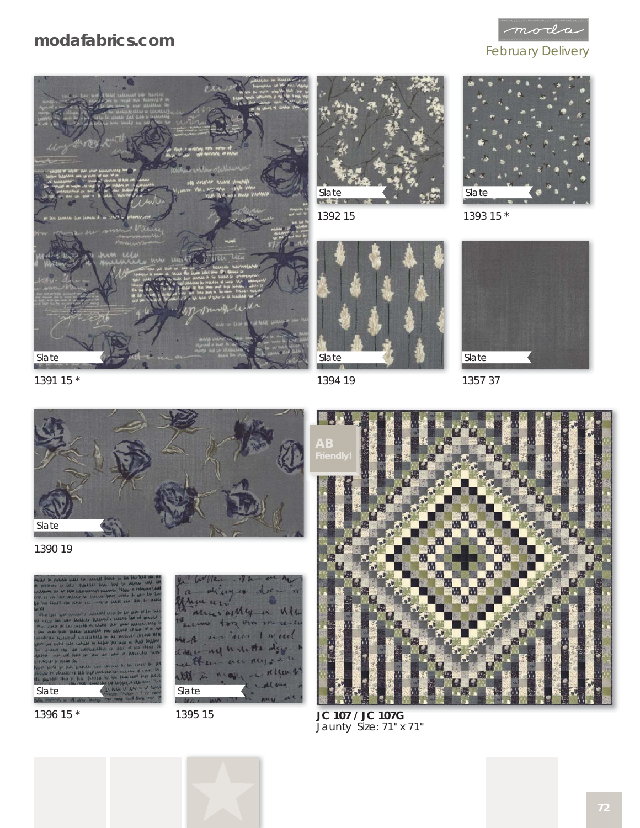# **modafabrics.com**

 $\mathop{{m}{\sigma}}$ dc

#### February Delivery





1392 15



1394 19



1393 15 \*



1357 37



1390 19

1391 15 \*







1395 15



**JC 107 / JC 107G**  Jaunty Size: 71" x 71"

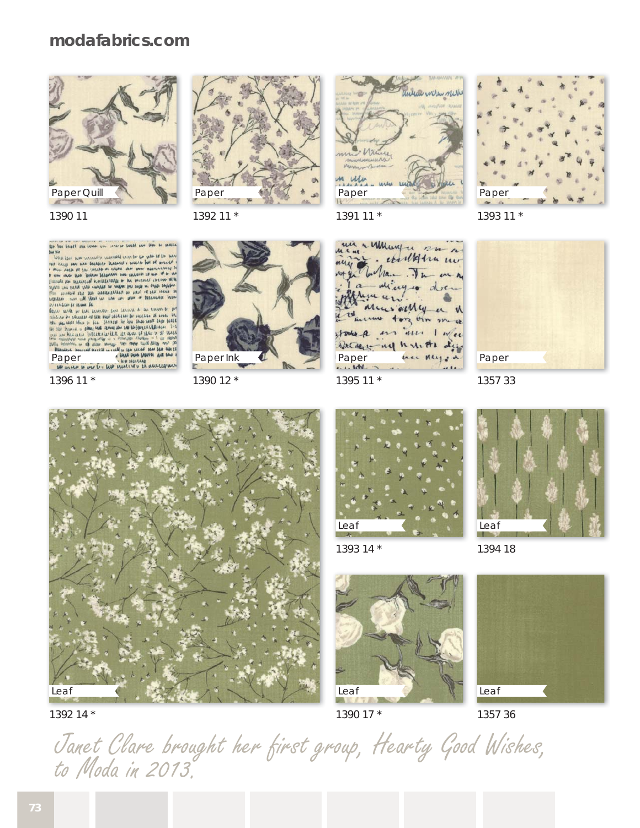### **modafabrics.com**





1390 11

for him blood our lease you serve beatt no tow to sente

un helen hunch. men concerns the term are the means of proceeding the control of the control of the control of the control of the control of the control of the control of the control of the control of the control of the control of the control

The control of the second the control of the term of the control of the control of the control of the control of the control of the control of the control of the control of the control of the control of the control of the Paper we property in the paper by the set of the set of the set of the set of the set of the set of the set of the set of the set of the set of the set of the set of the set of the set of the set of the set of the set of t

1396 11 \*



1390 12 \*



1391 11 \*



1395 11 \*



1393 11 \*



1357 33





Leaf

1393 14 \*



1394 18



1390 17 \*



1357 36

Janet Clare brought her first group, Hearty Good Wishes, to Moda in 2013.